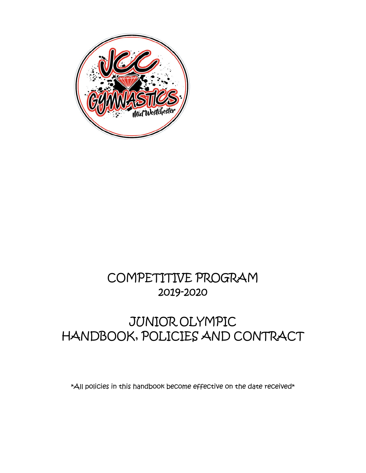

# COMPETITIVE PROGRAM 2019-2020

# JUNIOR OLYMPIC HANDBOOK, POLICIES AND CONTRACT

\*All policies in this handbook become effective on the date received\*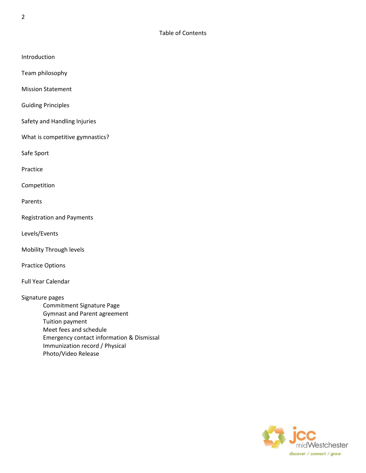Introduction

Team philosophy

Mission Statement

Guiding Principles

Safety and Handling Injuries

What is competitive gymnastics?

Safe Sport

Practice

Competition

Parents

Registration and Payments

Levels/Events

Mobility Through levels

Practice Options

Full Year Calendar

Signature pages Commitment Signature Page Gymnast and Parent agreement Tuition payment Meet fees and schedule Emergency contact information & Dismissal Immunization record / Physical

Photo/Video Release

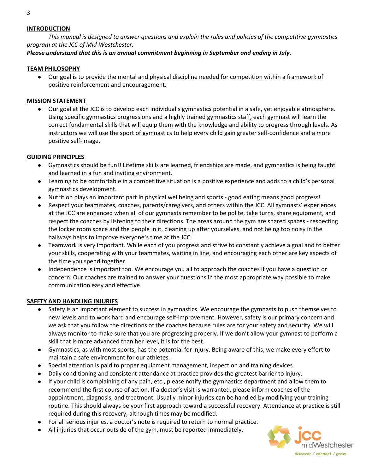### **INTRODUCTION**

*This manual is designed to answer questions and explain the rules and policies of the competitive gymnastics program at the JCC of Mid-Westchester.*

*Please understand that this is an annual commitment beginning in September and ending in July.* 

### **TEAM PHILOSOPHY**

● Our goal is to provide the mental and physical discipline needed for competition within a framework of positive reinforcement and encouragement.

# **MISSION STATEMENT**

● Our goal at the JCC is to develop each individual's gymnastics potential in a safe, yet enjoyable atmosphere. Using specific gymnastics progressions and a highly trained gymnastics staff, each gymnast will learn the correct fundamental skills that will equip them with the knowledge and ability to progress through levels. As instructors we will use the sport of gymnastics to help every child gain greater self-confidence and a more positive self-image.

### **GUIDING PRINCIPLES**

- Gymnastics should be fun!! Lifetime skills are learned, friendships are made, and gymnastics is being taught and learned in a fun and inviting environment.
- Learning to be comfortable in a competitive situation is a positive experience and adds to a child's personal gymnastics development.
- Nutrition plays an important part in physical wellbeing and sports good eating means good progress!
- Respect your teammates, coaches, parents/caregivers, and others within the JCC. All gymnasts' experiences at the JCC are enhanced when all of our gymnasts remember to be polite, take turns, share equipment, and respect the coaches by listening to their directions. The areas around the gym are shared spaces - respecting the locker room space and the people in it, cleaning up after yourselves, and not being too noisy in the hallways helps to improve everyone's time at the JCC.
- Teamwork is very important. While each of you progress and strive to constantly achieve a goal and to better your skills, cooperating with your teammates, waiting in line, and encouraging each other are key aspects of the time you spend together.
- Independence is important too. We encourage you all to approach the coaches if you have a question or concern. Our coaches are trained to answer your questions in the most appropriate way possible to make communication easy and effective.

# **SAFETY AND HANDLING INJURIES**

- Safety is an important element to success in gymnastics. We encourage the gymnasts to push themselves to new levels and to work hard and encourage self-improvement. However, safety is our primary concern and we ask that you follow the directions of the coaches because rules are for your safety and security. We will always monitor to make sure that you are progressing properly. If we don't allow your gymnast to perform a skill that is more advanced than her level, it is for the best.
- Gymnastics, as with most sports, has the potential for injury. Being aware of this, we make every effort to maintain a safe environment for our athletes.
- Special attention is paid to proper equipment management, inspection and training devices.
- Daily conditioning and consistent attendance at practice provides the greatest barrier to injury.
- If your child is complaining of any pain, etc., please notify the gymnastics department and allow them to recommend the first course of action. If a doctor's visit is warranted, please inform coaches of the appointment, diagnosis, and treatment. Usually minor injuries can be handled by modifying your training routine. This should always be your first approach toward a successful recovery. Attendance at practice is still required during this recovery, although times may be modified.
- For all serious injuries, a doctor's note is required to return to normal practice.
- All injuries that occur outside of the gym, must be reported immediately.

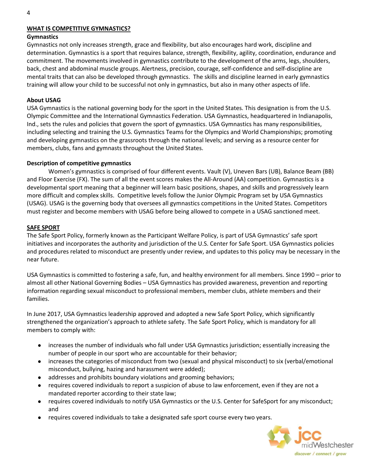# **WHAT IS COMPETITIVE GYMNASTICS?**

#### **Gymnastics**

Gymnastics not only increases strength, grace and flexibility, but also encourages hard work, discipline and determination. Gymnastics is a sport that requires balance, [strength,](https://en.wikipedia.org/wiki/Strength_training) [flexibility,](https://en.wikipedia.org/wiki/Flexibility_(anatomy)) agility, coordination, endurance and commitment. The movements involved in gymnastics contribute to the development of the arms, legs, shoulders, back, chest and [abdominal](https://en.wikipedia.org/wiki/Abdomen) muscle groups. Alertness, precision, courage, [self-confidence](https://en.wikipedia.org/wiki/Self-confidence) and self-discipline are mental traits that can also be developed through gymnastics. The skills and discipline learned in early gymnastics training will allow your child to be successful not only in gymnastics, but also in many other aspects of life.

#### **About USAG**

USA Gymnastics is the national governing body for the sport in the United States. This designation is from the U.S. Olympic Committee and the International Gymnastics Federation. USA Gymnastics, headquartered in Indianapolis, Ind., sets the rules and policies that govern the sport of gymnastics. USA Gymnastics has many responsibilities, including selecting and training the U.S. Gymnastics Teams for the Olympics and World Championships; promoting and developing gymnastics on the grassroots through the national levels; and serving as a resource center for members, clubs, fans and gymnasts throughout the United States.

#### **Description of competitive gymnastics**

Women's gymnastics is comprised of four different events. Vault (V), Uneven Bars (UB), Balance Beam (BB) and Floor Exercise (FX). The sum of all the event scores makes the All-Around (AA) competition. Gymnastics is a developmental sport meaning that a beginner will learn basic positions, shapes, and skills and progressively learn more difficult and complex skills. Competitive levels follow the Junior Olympic Program set by USA Gymnastics (USAG). USAG is the governing body that oversees all gymnastics competitions in the United States. Competitors must register and become members with USAG before being allowed to compete in a USAG sanctioned meet.

#### **SAFE SPORT**

The Safe Sport Policy, formerly known as the Participant Welfare Policy, is part of USA Gymnastics' safe sport initiatives and incorporates the authority and jurisdiction of the U.S. Center for Safe Sport. USA Gymnastics policies and procedures related to misconduct are presently under review, and updates to this policy may be necessary in the near future.

USA Gymnastics is committed to fostering a safe, fun, and healthy environment for all members. Since 1990 – prior to almost all other National Governing Bodies – USA Gymnastics has provided awareness, prevention and reporting information regarding sexual misconduct to professional members, member clubs, athlete members and their families.

In June 2017, USA Gymnastics leadership approved and adopted a new [Safe Sport Policy,](https://usagym.org/PDFs/About%20USA%20Gymnastics/safesportpolicy_032318.pdf) which significantly strengthened the organization's approach to athlete safety. The Safe Sport Policy, which is mandatory for all members to comply with:

- increases the number of individuals who fall under USA Gymnastics jurisdiction; essentially increasing the number of people in our sport who are accountable for their behavior;
- increases the categories of misconduct from two (sexual and physical misconduct) to six (verbal/emotional misconduct, bullying, hazing and harassment were added);
- addresses and prohibits boundary violations and grooming behaviors;
- requires covered individuals to report a suspicion of abuse to law enforcement, even if they are not a mandated reporter according to their state law;
- requires covered individuals to notify USA Gymnastics or the U.S. Center for SafeSport for any misconduct; and
- requires covered individuals to take a designated safe sport course every two years.

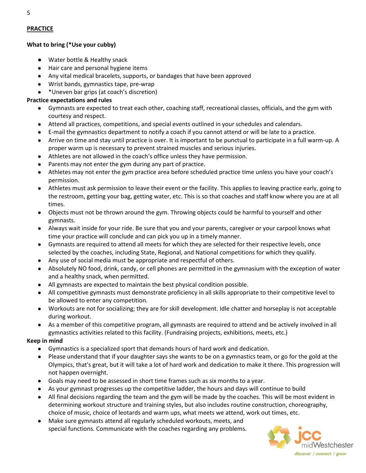# **PRACTICE**

# **What to bring (\*Use your cubby)**

- Water bottle & Healthy snack
- Hair care and personal hygiene items
- Any vital medical bracelets, supports, or bandages that have been approved
- Wrist bands, gymnastics tape, pre-wrap
- \*Uneven bar grips (at coach's discretion)

# **Practice expectations and rules**

- Gymnasts are expected to treat each other, coaching staff, recreational classes, officials, and the gym with courtesy and respect.
- Attend all practices, competitions, and special events outlined in your schedules and calendars.
- E-mail the gymnastics department to notify a coach if you cannot attend or will be late to a practice.
- Arrive on time and stay until practice is over. It is important to be punctual to participate in a full warm-up. A proper warm up is necessary to prevent strained muscles and serious injuries.
- Athletes are not allowed in the coach's office unless they have permission.
- Parents may not enter the gym during any part of practice.
- Athletes may not enter the gym practice area before scheduled practice time unless you have your coach's permission.
- Athletes must ask permission to leave their event or the facility. This applies to leaving practice early, going to the restroom, getting your bag, getting water, etc. This is so that coaches and staff know where you are at all times.
- Objects must not be thrown around the gym. Throwing objects could be harmful to yourself and other gymnasts.
- Always wait inside for your ride. Be sure that you and your parents, caregiver or your carpool knows what time your practice will conclude and can pick you up in a timely manner.
- Gymnasts are required to attend all meets for which they are selected for their respective levels, once selected by the coaches, including State, Regional, and National competitions for which they qualify.
- Any use of social media must be appropriate and respectful of others.
- Absolutely NO food, drink, candy, or cell phones are permitted in the gymnasium with the exception of water and a healthy snack, when permitted.
- All gymnasts are expected to maintain the best physical condition possible.
- All competitive gymnasts must demonstrate proficiency in all skills appropriate to their competitive level to be allowed to enter any competition.
- Workouts are not for socializing; they are for skill development. Idle chatter and horseplay is not acceptable during workout.
- As a member of this competitive program, all gymnasts are required to attend and be actively involved in all gymnastics activities related to this facility. (Fundraising projects, exhibitions, meets, etc.)

# **Keep in mind**

- Gymnastics is a specialized sport that demands hours of hard work and dedication.
- Please understand that if your daughter says she wants to be on a gymnastics team, or go for the gold at the Olympics, that's great, but it will take a lot of hard work and dedication to make it there. This progression will not happen overnight.
- Goals may need to be assessed in short time frames such as six months to a year.
- As your gymnast progresses up the competitive ladder, the hours and days will continue to build
- All final decisions regarding the team and the gym will be made by the coaches. This will be most evident in determining workout structure and training styles, but also includes routine construction, choreography, choice of music, choice of leotards and warm ups, what meets we attend, work out times, etc.
- Make sure gymnasts attend all regularly scheduled workouts, meets, and special functions. Communicate with the coaches regarding any problems.

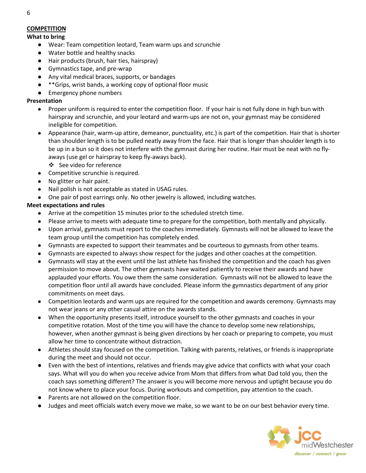# **COMPETITION**

# **What to bring**

- Wear: Team competition leotard, Team warm ups and scrunchie
- Water bottle and healthy snacks
- Hair products (brush, hair ties, hairspray)
- Gymnastics tape, and pre-wrap
- Any vital medical braces, supports, or bandages
- \*\*Grips, wrist bands, a working copy of optional floor music
- Emergency phone numbers

# **Presentation**

- Proper uniform is required to enter the competition floor. If your hair is not fully done in high bun with hairspray and scrunchie, and your leotard and warm-ups are not on, your gymnast may be considered ineligible for competition.
- Appearance (hair, warm-up attire, demeanor, punctuality, etc.) is part of the competition. Hair that is shorter than shoulder length is to be pulled neatly away from the face. Hair that is longer than shoulder length is to be up in a bun so it does not interfere with the gymnast during her routine. Hair must be neat with no flyaways (use gel or hairspray to keep fly-aways back).
	- See video for reference
- Competitive scrunchie is required.
- No glitter or hair paint.
- Nail polish is not acceptable as stated in USAG rules.
- One pair of post earrings only. No other jewelry is allowed, including watches.

# **Meet expectations and rules**

- Arrive at the competition 15 minutes prior to the scheduled stretch time.
- Please arrive to meets with adequate time to prepare for the competition, both mentally and physically.
- Upon arrival, gymnasts must report to the coaches immediately. Gymnasts will not be allowed to leave the team group until the competition has completely ended.
- Gymnasts are expected to support their teammates and be courteous to gymnasts from other teams.
- Gymnasts are expected to always show respect for the judges and other coaches at the competition.
- Gymnasts will stay at the event until the last athlete has finished the competition and the coach has given permission to move about. The other gymnasts have waited patiently to receive their awards and have applauded your efforts. You owe them the same consideration. Gymnasts will not be allowed to leave the competition floor until all awards have concluded. Please inform the gymnastics department of any prior commitments on meet days.
- Competition leotards and warm ups are required for the competition and awards ceremony. Gymnasts may not wear jeans or any other casual attire on the awards stands.
- When the opportunity presents itself, introduce yourself to the other gymnasts and coaches in your competitive rotation. Most of the time you will have the chance to develop some new relationships, however, when another gymnast is being given directions by her coach or preparing to compete, you must allow her time to concentrate without distraction.
- Athletes should stay focused on the competition. Talking with parents, relatives, or friends is inappropriate during the meet and should not occur.
- Even with the best of intentions, relatives and friends may give advice that conflicts with what your coach says. What will you do when you receive advice from Mom that differs from what Dad told you, then the coach says something different? The answer is you will become more nervous and uptight because you do not know where to place your focus. During workouts and competition, pay attention to the coach.
- Parents are not allowed on the competition floor.
- Judges and meet officials watch every move we make, so we want to be on our best behavior every time.

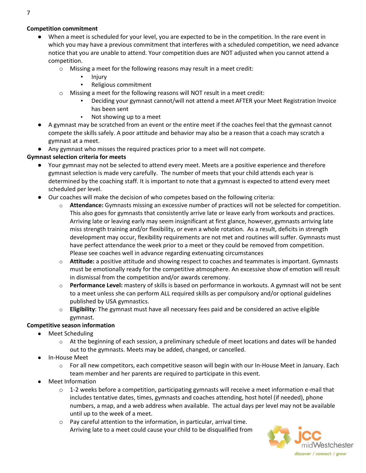# **Competition commitment**

- When a meet is scheduled for your level, you are expected to be in the competition. In the rare event in which you may have a previous commitment that interferes with a scheduled competition, we need advance notice that you are unable to attend. Your competition dues are NOT adjusted when you cannot attend a competition.
	- o Missing a meet for the following reasons may result in a meet credit:
		- Injury
		- Religious commitment
	- $\circ$  Missing a meet for the following reasons will NOT result in a meet credit:
		- Deciding your gymnast cannot/will not attend a meet AFTER your Meet Registration Invoice has been sent
		- Not showing up to a meet
- A gymnast may be scratched from an event or the entire meet if the coaches feel that the gymnast cannot compete the skills safely. A poor attitude and behavior may also be a reason that a coach may scratch a gymnast at a meet.
- Any gymnast who misses the required practices prior to a meet will not compete.

### **Gymnast selection criteria for meets**

- Your gymnast may not be selected to attend every meet. Meets are a positive experience and therefore gymnast selection is made very carefully. The number of meets that your child attends each year is determined by the coaching staff. It is important to note that a gymnast is expected to attend every meet scheduled per level.
- Our coaches will make the decision of who competes based on the following criteria:
	- Attendance: Gymnasts missing an excessive number of practices will not be selected for competition. This also goes for gymnasts that consistently arrive late or leave early from workouts and practices. Arriving late or leaving early may seem insignificant at first glance, however, gymnasts arriving late miss strength training and/or flexibility, or even a whole rotation. As a result, deficits in strength development may occur, flexibility requirements are not met and routines will suffer. Gymnasts must have perfect attendance the week prior to a meet or they could be removed from competition. Please see coaches well in advance regarding extenuating circumstances
	- o **Attitude:** a positive attitude and showing respect to coaches and teammates is important. Gymnasts must be emotionally ready for the competitive atmosphere. An excessive show of emotion will result in dismissal from the competition and/or awards ceremony.
	- o **Performance Level:** mastery of skills is based on performance in workouts. A gymnast will not be sent to a meet unless she can perform ALL required skills as per compulsory and/or optional guidelines published by USA gymnastics.
	- o **Eligibility**: The gymnast must have all necessary fees paid and be considered an active eligible gymnast.

#### **Competitive season information**

- **Meet Scheduling** 
	- o At the beginning of each session, a preliminary schedule of meet locations and dates will be handed out to the gymnasts. Meets may be added, changed, or cancelled.
- In-House Meet
	- $\circ$  For all new competitors, each competitive season will begin with our In-House Meet in January. Each team member and her parents are required to participate in this event.
- **Meet Information** 
	- $\circ$  1-2 weeks before a competition, participating gymnasts will receive a meet information e-mail that includes tentative dates, times, gymnasts and coaches attending, host hotel (if needed), phone numbers, a map, and a web address when available. The actual days per level may not be available until up to the week of a meet.
	- o Pay careful attention to the information, in particular, arrival time. Arriving late to a meet could cause your child to be disqualified from

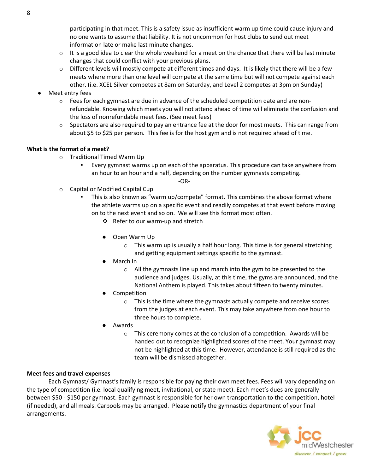participating in that meet. This is a safety issue as insufficient warm up time could cause injury and no one wants to assume that liability. It is not uncommon for host clubs to send out meet information late or make last minute changes.

- $\circ$  It is a good idea to clear the whole weekend for a meet on the chance that there will be last minute changes that could conflict with your previous plans.
- o Different levels will mostly compete at different times and days. It is likely that there will be a few meets where more than one level will compete at the same time but will not compete against each other. (i.e. XCEL Silver competes at 8am on Saturday, and Level 2 competes at 3pm on Sunday)
- Meet entry fees
	- $\circ$  Fees for each gymnast are due in advance of the scheduled competition date and are nonrefundable. Knowing which meets you will not attend ahead of time will eliminate the confusion and the loss of nonrefundable meet fees. (See meet fees)
	- $\circ$  Spectators are also required to pay an entrance fee at the door for most meets. This can range from about \$5 to \$25 per person. This fee is for the host gym and is not required ahead of time.

### **What is the format of a meet?**

- o Traditional Timed Warm Up
	- Every gymnast warms up on each of the apparatus. This procedure can take anywhere from an hour to an hour and a half, depending on the number gymnasts competing.

-OR-

- o Capital or Modified Capital Cup
	- This is also known as "warm up/compete" format. This combines the above format where the athlete warms up on a specific event and readily competes at that event before moving on to the next event and so on. We will see this format most often.
		- ❖ Refer to our warm-up and stretch
		- Open Warm Up
			- $\circ$  This warm up is usually a half hour long. This time is for general stretching and getting equipment settings specific to the gymnast.
		- March In
			- o All the gymnasts line up and march into the gym to be presented to the audience and judges. Usually, at this time, the gyms are announced, and the National Anthem is played. This takes about fifteen to twenty minutes.
			- **Competition** 
				- o This is the time where the gymnasts actually compete and receive scores from the judges at each event. This may take anywhere from one hour to three hours to complete.
		- **Awards** 
			- o This ceremony comes at the conclusion of a competition. Awards will be handed out to recognize highlighted scores of the meet. Your gymnast may not be highlighted at this time. However, attendance is still required as the team will be dismissed altogether.

#### **Meet fees and travel expenses**

Each Gymnast/ Gymnast's family is responsible for paying their own meet fees. Fees will vary depending on the type of competition (i.e. local qualifying meet, invitational, or state meet). Each meet's dues are generally between \$50 - \$150 per gymnast. Each gymnast is responsible for her own transportation to the competition, hotel (if needed), and all meals. Carpools may be arranged. Please notify the gymnastics department of your final arrangements.

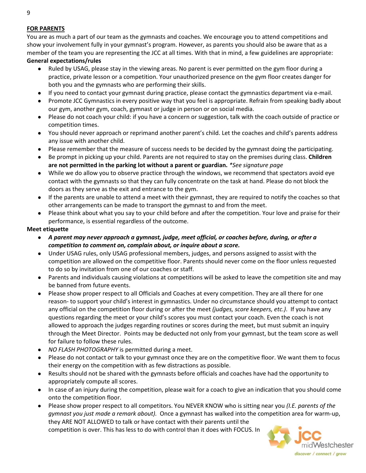# **FOR PARENTS**

You are as much a part of our team as the gymnasts and coaches. We encourage you to attend competitions and show your involvement fully in your gymnast's program. However, as parents you should also be aware that as a member of the team you are representing the JCC at all times. With that in mind, a few guidelines are appropriate: **General expectations/rules**

- Ruled by USAG, please stay in the viewing areas. No parent is ever permitted on the gym floor during a practice, private lesson or a competition. Your unauthorized presence on the gym floor creates danger for both you and the gymnasts who are performing their skills.
- If you need to contact your gymnast during practice, please contact the gymnastics department via e-mail.
- Promote JCC Gymnastics in every positive way that you feel is appropriate. Refrain from speaking badly about our gym, another gym, coach, gymnast or judge in person or on social media.
- Please do not coach your child: if you have a concern or suggestion, talk with the coach outside of practice or competition times.
- You should never approach or reprimand another parent's child. Let the coaches and child's parents address any issue with another child.
- Please remember that the measure of success needs to be decided by the gymnast doing the participating.
- Be prompt in picking up your child. Parents are not required to stay on the premises during class. **Children are not permitted in the parking lot without a parent or guardian.** *\*See signature page*
- While we do allow you to observe practice through the windows, we recommend that spectators avoid eye contact with the gymnasts so that they can fully concentrate on the task at hand. Please do not block the doors as they serve as the exit and entrance to the gym.
- If the parents are unable to attend a meet with their gymnast, they are required to notify the coaches so that other arrangements can be made to transport the gymnast to and from the meet.
- Please think about what you say to your child before and after the competition. Your love and praise for their performance, is essential regardless of the outcome.

### **Meet etiquette**

- *A parent may never approach a gymnast, judge, meet official, or coaches before, during, or after a competition to comment on, complain about, or inquire about a score.*
- Under USAG rules, only USAG professional members, judges, and persons assigned to assist with the competition are allowed on the competitive floor. Parents should never come on the floor unless requested to do so by invitation from one of our coaches or staff.
- Parents and individuals causing violations at competitions will be asked to leave the competition site and may be banned from future events.
- Please show proper respect to all Officials and Coaches at every competition. They are all there for one reason- to support your child's interest in gymnastics. Under no circumstance should you attempt to contact any official on the competition floor during or after the meet *(judges, score keepers, etc.)*. If you have any questions regarding the meet or your child's scores you must contact your coach. Even the coach is not allowed to approach the judges regarding routines or scores during the meet, but must submit an inquiry through the Meet Director. Points may be deducted not only from your gymnast, but the team score as well for failure to follow these rules.
- *NO FLASH PHOTOGRAPHY* is permitted during a meet.
- Please do not contact or talk to your gymnast once they are on the competitive floor. We want them to focus their energy on the competition with as few distractions as possible.
- Results should not be shared with the gymnasts before officials and coaches have had the opportunity to appropriately compute all scores.
- In case of an injury during the competition, please wait for a coach to give an indication that you should come onto the competition floor.
- Please show proper respect to all competitors. You NEVER KNOW who is sitting near you *(I.E. parents of the gymnast you just made a remark about).* Once a gymnast has walked into the competition area for warm-up, they ARE NOT ALLOWED to talk or have contact with their parents until the

competition is over. This has less to do with control than it does with FOCUS. In

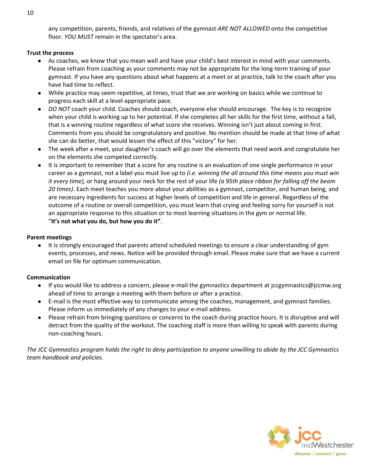any competition, parents, friends, and relatives of the gymnast *ARE NOT ALLOWED* onto the competitive floor. *YOU MUST* remain in the spectator's area.

### **Trust the process**

- As coaches, we know that you mean well and have your child's best interest in mind with your comments. Please refrain from coaching as your comments may not be appropriate for the long-term training of your gymnast. If you have any questions about what happens at a meet or at practice, talk to the coach after you have had time to reflect.
- While practice may seem repetitive, at times, trust that we are working on basics while we continue to progress each skill at a level-appropriate pace.
- *DO NOT* coach your child. Coaches should coach, everyone else should encourage. The key is to recognize when your child is working up to her potential. If she completes all her skills for the first time, without a fall, that is a winning routine regardless of what score she receives. Winning isn't just about coming in first. Comments from you should be congratulatory and positive. No mention should be made at that time of what she can do better, that would lessen the effect of this "victory" for her.
- The week after a meet, your daughter's coach will go over the elements that need work and congratulate her on the elements she competed correctly.
- It is important to remember that a score for any routine is an evaluation of one single performance in your career as a gymnast, not a label you must live up to *(i.e. winning the all around this time means you must win it every time),* or hang around your neck for the rest of your life *(a 95th place ribbon for falling off the beam 20 times).* Each meet teaches you more about your abilities as a gymnast, competitor, and human being, and are necessary ingredients for success at higher levels of competition and life in general. Regardless of the outcome of a routine or overall competition, you must learn that crying and feeling sorry for yourself is not an appropriate response to this situation or to most learning situations in the gym or normal life. "**It's not what you do, but how you do it"**.

#### **Parent meetings**

● It is strongly encouraged that parents attend scheduled meetings to ensure a clear understanding of gym events, processes, and news. Notice will be provided through email. Please make sure that we have a current email on file for optimum communication.

#### **Communication**

- If you would like to address a concern, please e-mail the gymnastics department at jccgymnastics@jccmw.org ahead of time to arrange a meeting with them before or after a practice.
- E-mail is the most effective way to communicate among the coaches, management, and gymnast families. Please inform us immediately of any changes to your e-mail address.
- Please refrain from bringing questions or concerns to the coach during practice hours. It is disruptive and will detract from the quality of the workout. The coaching staff is more than willing to speak with parents during non-coaching hours.

*The JCC Gymnastics program holds the right to deny participation to anyone unwilling to abide by the JCC Gymnastics team handbook and policies.*

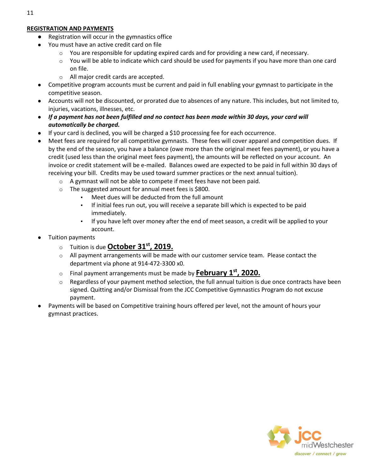# **REGISTRATION AND PAYMENTS**

- Registration will occur in the gymnastics office
- You must have an active credit card on file
	- $\circ$  You are responsible for updating expired cards and for providing a new card, if necessary.
	- $\circ$  You will be able to indicate which card should be used for payments if you have more than one card on file.
	- o All major credit cards are accepted.
- Competitive program accounts must be current and paid in full enabling your gymnast to participate in the competitive season.
- Accounts will not be discounted, or prorated due to absences of any nature. This includes, but not limited to, injuries, vacations, illnesses, etc.
- *If a payment has not been fulfilled and no contact has been made within 30 days, your card will automatically be charged.*
- If your card is declined, you will be charged a \$10 processing fee for each occurrence.
- Meet fees are required for all competitive gymnasts. These fees will cover apparel and competition dues. If by the end of the season, you have a balance (owe more than the original meet fees payment), or you have a credit (used less than the original meet fees payment), the amounts will be reflected on your account. An invoice or credit statement will be e-mailed. Balances owed are expected to be paid in full within 30 days of receiving your bill. Credits may be used toward summer practices or the next annual tuition).
	- o A gymnast will not be able to compete if meet fees have not been paid.
	- o The suggested amount for annual meet fees is \$800.
		- Meet dues will be deducted from the full amount
		- If initial fees run out, you will receive a separate bill which is expected to be paid immediately.
		- If you have left over money after the end of meet season, a credit will be applied to your account.
- Tuition payments
	- <sup>o</sup> Tuition is due **October 31st, 2019.**
	- $\circ$  All payment arrangements will be made with our customer service team. Please contact the department via phone at 914-472-3300 x0.
	- <sup>o</sup> Final payment arrangements must be made by **February 1st, 2020.**
	- Regardless of your payment method selection, the full annual tuition is due once contracts have been signed. Quitting and/or Dismissal from the JCC Competitive Gymnastics Program do not excuse payment.
- Payments will be based on Competitive training hours offered per level, not the amount of hours your gymnast practices.



11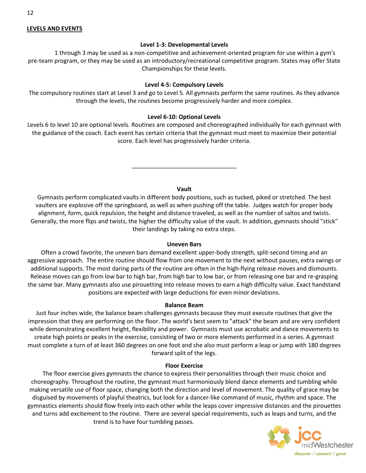#### **LEVELS AND EVENTS**

#### **Level 1-3: Developmental Levels**

1 through 3 may be used as a non-competitive and achievement-oriented program for use within a gym's pre-team program, or they may be used as an introductory/recreational competitive program. States may offer State Championships for these levels.

#### **Level 4-5: Compulsory Levels**

The compulsory routines start at Level 3 and go to Level 5. All gymnasts perform the same routines. As they advance through the levels, the routines become progressively harder and more complex.

#### **Level 6-10: Optional Levels**

Levels 6 to level 10 are optional levels. Routines are composed and choreographed individually for each gymnast with the guidance of the coach. Each event has certain criteria that the gymnast must meet to maximize their potential score. Each level has progressively harder criteria.

#### **Vault**

\_\_\_\_\_\_\_\_\_\_\_\_\_\_\_\_\_\_\_\_\_\_\_\_\_\_\_\_\_\_\_\_

Gymnasts perform complicated vaults in different body positions, such as tucked, piked or stretched. The best vaulters are explosive off the springboard, as well as when pushing off the table. Judges watch for proper body alignment, form, quick repulsion, the height and distance traveled, as well as the number of saltos and twists. Generally, the more flips and twists, the higher the difficulty value of the vault. In addition, gymnasts should "stick" their landings by taking no extra steps.

#### **Uneven Bars**

Often a crowd favorite, the uneven bars demand excellent upper-body strength, split-second timing and an aggressive approach. The entire routine should flow from one movement to the next without pauses, extra swings or additional supports. The most daring parts of the routine are often in the high-flying release moves and dismounts. Release moves can go from low bar to high bar, from high bar to low bar, or from releasing one bar and re-grasping the same bar. Many gymnasts also use pirouetting into release moves to earn a high difficulty value. Exact handstand positions are expected with large deductions for even minor deviations.

#### **Balance Beam**

Just four inches wide, the balance beam challenges gymnasts because they must execute routines that give the impression that they are performing on the floor. The world's best seem to "attack" the beam and are very confident while demonstrating excellent height, flexibility and power. Gymnasts must use acrobatic and dance movements to create high points or peaks in the exercise, consisting of two or more elements performed in a series. A gymnast must complete a turn of at least 360 degrees on one foot and she also must perform a leap or jump with 180 degrees forward split of the legs.

#### **Floor Exercise**

The floor exercise gives gymnasts the chance to express their personalities through their music choice and choreography. Throughout the routine, the gymnast must harmoniously blend dance elements and tumbling while making versatile use of floor space, changing both the direction and level of movement. The quality of grace may be disguised by movements of playful theatrics, but look for a dancer-like command of music, rhythm and space. The gymnastics elements should flow freely into each other while the leaps cover impressive distances and the pirouettes and turns add excitement to the routine. There are several special requirements, such as leaps and turns, and the trend is to have four tumbling passes.

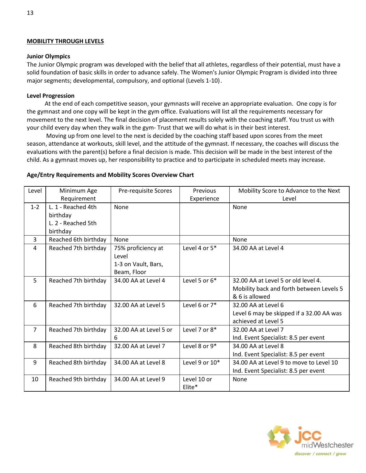#### **MOBILITY THROUGH LEVELS**

#### **Junior Olympics**

The Junior Olympic program was developed with the belief that all athletes, regardless of their potential, must have a solid foundation of basic skills in order to advance safely. The Women's Junior Olympic Program is divided into three major segments; developmental, compulsory, and optional (Levels 1-10).

#### **Level Progression**

 At the end of each competitive season, your gymnasts will receive an appropriate evaluation. One copy is for the gymnast and one copy will be kept in the gym office. Evaluations will list all the requirements necessary for movement to the next level. The final decision of placement results solely with the coaching staff. You trust us with your child every day when they walk in the gym- Trust that we will do what is in their best interest.

 Moving up from one level to the next is decided by the coaching staff based upon scores from the meet season, attendance at workouts, skill level, and the attitude of the gymnast. If necessary, the coaches will discuss the evaluations with the parent(s) before a final decision is made. This decision will be made in the best interest of the child. As a gymnast moves up, her responsibility to practice and to participate in scheduled meets may increase.

#### **Age/Entry Requirements and Mobility Scores Overview Chart**

| Level          | Minimum Age          | Pre-requisite Scores   | Previous         | Mobility Score to Advance to the Next    |
|----------------|----------------------|------------------------|------------------|------------------------------------------|
|                | Requirement          |                        | Experience       | Level                                    |
| $1 - 2$        | L. 1 - Reached 4th   | <b>None</b>            |                  | None                                     |
|                | birthday             |                        |                  |                                          |
|                | L. 2 - Reached 5th   |                        |                  |                                          |
|                | birthday             |                        |                  |                                          |
| 3              | Reached 6th birthday | <b>None</b>            |                  | None                                     |
| 4              | Reached 7th birthday | 75% proficiency at     | Level 4 or 5*    | 34.00 AA at Level 4                      |
|                |                      | Level                  |                  |                                          |
|                |                      | 1-3 on Vault, Bars,    |                  |                                          |
|                |                      | Beam, Floor            |                  |                                          |
| 5              | Reached 7th birthday | 34.00 AA at Level 4    | Level 5 or $6*$  | 32.00 AA at Level 5 or old level 4.      |
|                |                      |                        |                  | Mobility back and forth between Levels 5 |
|                |                      |                        |                  | & 6 is allowed                           |
| 6              | Reached 7th birthday | 32.00 AA at Level 5    | Level 6 or 7*    | 32.00 AA at Level 6                      |
|                |                      |                        |                  | Level 6 may be skipped if a 32.00 AA was |
|                |                      |                        |                  | achieved at Level 5                      |
| $\overline{7}$ | Reached 7th birthday | 32.00 AA at Level 5 or | Level 7 or 8*    | 32.00 AA at Level 7                      |
|                |                      | 6                      |                  | Ind. Event Specialist: 8.5 per event     |
| 8              | Reached 8th birthday | 32.00 AA at Level 7    | Level 8 or $9*$  | 34.00 AA at Level 8                      |
|                |                      |                        |                  | Ind. Event Specialist: 8.5 per event     |
| 9              | Reached 8th birthday | 34.00 AA at Level 8    | Level 9 or $10*$ | 34.00 AA at Level 9 to move to Level 10  |
|                |                      |                        |                  | Ind. Event Specialist: 8.5 per event     |
| 10             | Reached 9th birthday | 34.00 AA at Level 9    | Level 10 or      | None                                     |
|                |                      |                        | Elite*           |                                          |

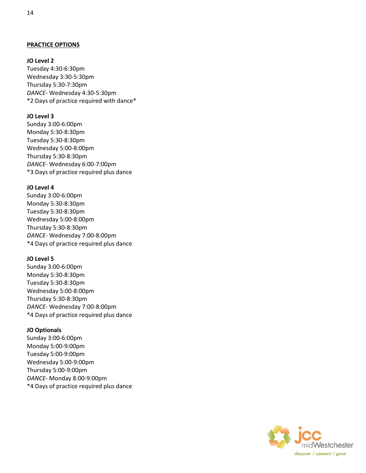#### **PRACTICE OPTIONS**

### **JO Level 2**

Tuesday 4:30-6:30pm Wednesday 3:30-5:30pm Thursday 5:30-7:30pm *DANCE-* Wednesday 4:30-5:30pm \*2 Days of practice required with dance\*

#### **JO Level 3**

Sunday 3:00-6:00pm Monday 5:30-8:30pm Tuesday 5:30-8:30pm Wednesday 5:00-8:00pm Thursday 5:30-8:30pm *DANCE-* Wednesday 6:00-7:00pm \*3 Days of practice required plus dance

#### **JO Level 4**

Sunday 3:00-6:00pm Monday 5:30-8:30pm Tuesday 5:30-8:30pm Wednesday 5:00-8:00pm Thursday 5:30-8:30pm *DANCE-* Wednesday 7:00-8:00pm \*4 Days of practice required plus dance

#### **JO Level 5**

Sunday 3:00-6:00pm Monday 5:30-8:30pm Tuesday 5:30-8:30pm Wednesday 5:00-8:00pm Thursday 5:30-8:30pm *DANCE-* Wednesday 7:00-8:00pm \*4 Days of practice required plus dance

#### **JO Optionals**

Sunday 3:00-6:00pm Monday 5:00-9:00pm Tuesday 5:00-9:00pm Wednesday 5:00-9:00pm Thursday 5:00-9:00pm *DANCE-* Monday 8:00-9:00pm \*4 Days of practice required plus dance

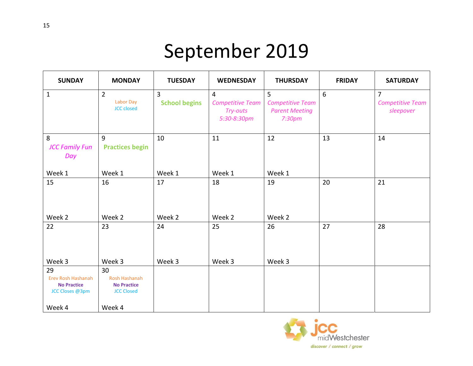# September 2019

| <b>SUNDAY</b>                                                             | <b>MONDAY</b>                                                   | <b>TUESDAY</b>                         | <b>WEDNESDAY</b>                                                     | <b>THURSDAY</b>                                                             | <b>FRIDAY</b> | <b>SATURDAY</b>                                        |
|---------------------------------------------------------------------------|-----------------------------------------------------------------|----------------------------------------|----------------------------------------------------------------------|-----------------------------------------------------------------------------|---------------|--------------------------------------------------------|
| $\mathbf{1}$                                                              | $\overline{2}$<br>Labor Day<br><b>JCC</b> closed                | $\overline{3}$<br><b>School begins</b> | $\overline{4}$<br><b>Competitive Team</b><br>Try-outs<br>5:30-8:30pm | 5<br><b>Competitive Team</b><br><b>Parent Meeting</b><br>7:30 <sub>pm</sub> | 6             | $\overline{7}$<br><b>Competitive Team</b><br>sleepover |
| 8<br><b>JCC Family Fun</b><br>Day                                         | $\overline{9}$<br><b>Practices begin</b>                        | 10                                     | 11                                                                   | 12                                                                          | 13            | 14                                                     |
| Week 1                                                                    | Week 1                                                          | Week 1                                 | Week 1                                                               | Week 1                                                                      |               |                                                        |
| 15<br>Week 2                                                              | 16<br>Week 2                                                    | 17<br>Week 2                           | 18<br>Week 2                                                         | 19<br>Week 2                                                                | 20            | 21                                                     |
| 22                                                                        | 23                                                              | 24                                     | 25                                                                   | 26                                                                          | 27            | 28                                                     |
| Week 3                                                                    | Week 3                                                          | Week 3                                 | Week 3                                                               | Week 3                                                                      |               |                                                        |
| 29                                                                        | 30                                                              |                                        |                                                                      |                                                                             |               |                                                        |
| <b>Erev Rosh Hashanah</b><br><b>No Practice</b><br><b>JCC Closes @3pm</b> | <b>Rosh Hashanah</b><br><b>No Practice</b><br><b>JCC Closed</b> |                                        |                                                                      |                                                                             |               |                                                        |
| Week 4                                                                    | Week 4                                                          |                                        |                                                                      |                                                                             |               |                                                        |

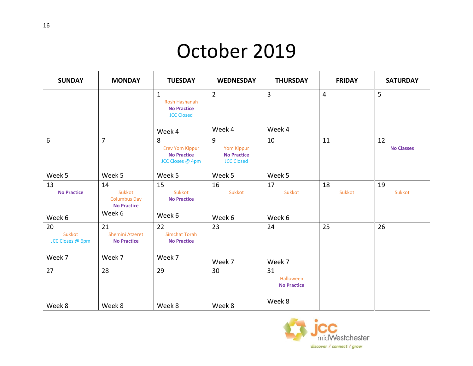# October 2019

| <b>SUNDAY</b>                              | <b>MONDAY</b>                                                       | <b>TUESDAY</b>                                                                  | <b>WEDNESDAY</b>                                                  | <b>THURSDAY</b>                       | <b>FRIDAY</b>  | <b>SATURDAY</b>         |
|--------------------------------------------|---------------------------------------------------------------------|---------------------------------------------------------------------------------|-------------------------------------------------------------------|---------------------------------------|----------------|-------------------------|
|                                            |                                                                     | $\mathbf{1}$<br><b>Rosh Hashanah</b><br><b>No Practice</b><br><b>JCC Closed</b> | $\overline{2}$                                                    | 3                                     | $\overline{4}$ | 5                       |
|                                            |                                                                     | Week 4                                                                          | Week 4                                                            | Week 4                                |                |                         |
| $6\phantom{1}$                             | $\overline{7}$                                                      | 8<br><b>Erev Yom Kippur</b><br><b>No Practice</b><br>JCC Closes @ 4pm           | 9<br><b>Yom Kippur</b><br><b>No Practice</b><br><b>JCC Closed</b> | 10                                    | 11             | 12<br><b>No Classes</b> |
| Week 5                                     | Week 5                                                              | Week 5                                                                          | Week 5                                                            | Week 5                                |                |                         |
| 13<br><b>No Practice</b>                   | 14<br>Sukkot<br><b>Columbus Day</b><br><b>No Practice</b><br>Week 6 | 15<br>Sukkot<br><b>No Practice</b><br>Week 6                                    | 16<br>Sukkot                                                      | 17<br>Sukkot                          | 18<br>Sukkot   | 19<br>Sukkot            |
| Week 6<br>20<br>Sukkot<br>JCC Closes @ 6pm | 21<br><b>Shemini Atzeret</b><br><b>No Practice</b>                  | 22<br><b>Simchat Torah</b><br><b>No Practice</b>                                | Week 6<br>23                                                      | Week 6<br>24                          | 25             | 26                      |
| Week 7                                     | Week 7                                                              | Week 7                                                                          | Week 7                                                            | Week 7                                |                |                         |
| 27                                         | 28                                                                  | 29                                                                              | 30                                                                | 31<br>Halloween<br><b>No Practice</b> |                |                         |
| Week 8                                     | Week 8                                                              | Week 8                                                                          | Week 8                                                            | Week 8                                |                |                         |

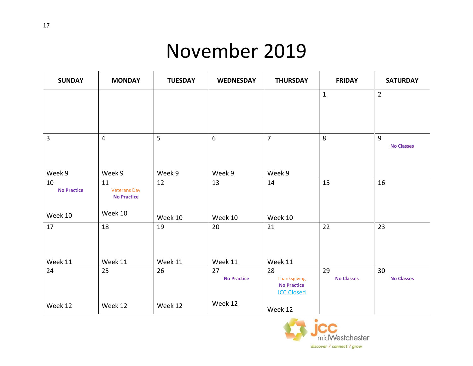# November 2019

| <b>SUNDAY</b>            | <b>MONDAY</b>                                   | <b>TUESDAY</b> | <b>WEDNESDAY</b>         | <b>THURSDAY</b>                                               | <b>FRIDAY</b>           | <b>SATURDAY</b>         |
|--------------------------|-------------------------------------------------|----------------|--------------------------|---------------------------------------------------------------|-------------------------|-------------------------|
|                          |                                                 |                |                          |                                                               | $\mathbf{1}$            | $\overline{2}$          |
|                          |                                                 |                |                          |                                                               |                         |                         |
| 3                        | $\overline{4}$                                  | 5              | $6\overline{6}$          | $\overline{7}$                                                | 8                       | 9<br><b>No Classes</b>  |
| Week 9                   | Week 9                                          | Week 9         | Week 9                   | Week 9                                                        |                         |                         |
| 10<br><b>No Practice</b> | 11<br><b>Veterans Day</b><br><b>No Practice</b> | 12             | 13                       | 14                                                            | 15                      | 16                      |
| Week 10                  | Week 10                                         | Week 10        | Week 10                  | Week 10                                                       |                         |                         |
| 17                       | 18                                              | 19             | 20                       | 21                                                            | 22                      | 23                      |
| Week 11                  | Week 11                                         | Week 11        | Week 11                  | Week 11                                                       |                         |                         |
| 24                       | 25                                              | 26             | 27<br><b>No Practice</b> | 28<br>Thanksgiving<br><b>No Practice</b><br><b>JCC Closed</b> | 29<br><b>No Classes</b> | 30<br><b>No Classes</b> |
| Week 12                  | Week 12                                         | Week 12        | Week 12                  | Week 12                                                       |                         |                         |

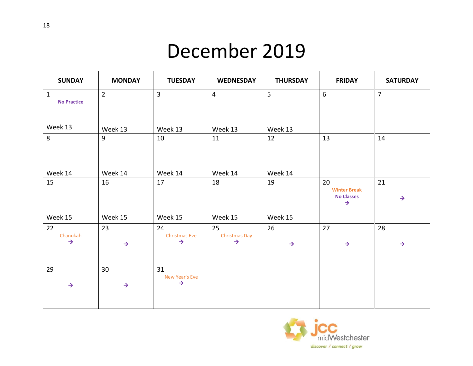# December 2019

| <b>SUNDAY</b>                      | <b>MONDAY</b>  | <b>TUESDAY</b>                        | <b>WEDNESDAY</b>               | <b>THURSDAY</b> | <b>FRIDAY</b>             | <b>SATURDAY</b> |
|------------------------------------|----------------|---------------------------------------|--------------------------------|-----------------|---------------------------|-----------------|
| $\mathbf{1}$<br><b>No Practice</b> | $\overline{2}$ | 3                                     | $\overline{4}$                 | 5               | $6\phantom{a}$            | $\overline{7}$  |
|                                    |                |                                       |                                |                 |                           |                 |
| Week 13                            | Week 13        | Week 13                               | Week 13                        | Week 13         |                           |                 |
| 8                                  | $\overline{9}$ | 10                                    | 11                             | 12              | 13                        | 14              |
|                                    |                |                                       |                                |                 |                           |                 |
|                                    |                |                                       |                                |                 |                           |                 |
| Week 14                            | Week 14        | Week 14                               | Week 14                        | Week 14         |                           |                 |
| 15                                 | 16             | 17                                    | 18                             | 19              | 20<br><b>Winter Break</b> | 21              |
|                                    |                |                                       |                                |                 | <b>No Classes</b>         | $\rightarrow$   |
|                                    |                |                                       |                                |                 | $\rightarrow$             |                 |
| Week 15                            | Week 15        | Week 15                               | Week 15                        | Week 15         |                           |                 |
| 22                                 | 23             | 24                                    | 25                             | 26              | 27                        | 28              |
| Chanukah<br>$\rightarrow$          | $\rightarrow$  | <b>Christmas Eve</b><br>$\rightarrow$ | Christmas Day<br>$\rightarrow$ | $\rightarrow$   | $\rightarrow$             | $\rightarrow$   |
|                                    |                |                                       |                                |                 |                           |                 |
| 29                                 | 30             | 31                                    |                                |                 |                           |                 |
| $\rightarrow$                      | $\rightarrow$  | New Year's Eve<br>$\rightarrow$       |                                |                 |                           |                 |
|                                    |                |                                       |                                |                 |                           |                 |
|                                    |                |                                       |                                |                 |                           |                 |

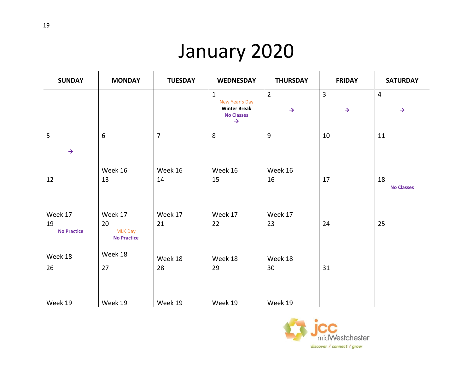# January 2020

| <b>SUNDAY</b>            | <b>MONDAY</b>                              | <b>TUESDAY</b> | <b>WEDNESDAY</b>                                                                            | <b>THURSDAY</b>                 | <b>FRIDAY</b>                   | <b>SATURDAY</b>                 |
|--------------------------|--------------------------------------------|----------------|---------------------------------------------------------------------------------------------|---------------------------------|---------------------------------|---------------------------------|
|                          |                                            |                | $\mathbf{1}$<br>New Year's Day<br><b>Winter Break</b><br><b>No Classes</b><br>$\rightarrow$ | $\overline{2}$<br>$\rightarrow$ | $\overline{3}$<br>$\rightarrow$ | $\overline{4}$<br>$\rightarrow$ |
| 5<br>$\rightarrow$       | 6                                          | $\overline{7}$ | 8                                                                                           | 9                               | 10                              | 11                              |
|                          | Week 16                                    | Week 16        | Week 16                                                                                     | Week 16                         |                                 |                                 |
| 12                       | 13                                         | 14             | 15                                                                                          | 16                              | 17                              | 18<br><b>No Classes</b>         |
| Week 17                  | Week 17                                    | Week 17        | Week 17                                                                                     | Week 17                         |                                 |                                 |
| 19<br><b>No Practice</b> | 20<br><b>MLK Day</b><br><b>No Practice</b> | 21             | 22                                                                                          | 23                              | 24                              | 25                              |
| Week 18                  | Week 18                                    | Week 18        | Week 18                                                                                     | Week 18                         |                                 |                                 |
| 26                       | 27                                         | 28             | 29                                                                                          | 30                              | 31                              |                                 |
| Week 19                  | Week 19                                    | Week 19        | Week 19                                                                                     | Week 19                         |                                 |                                 |

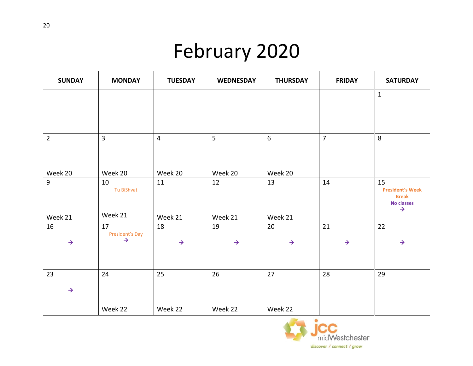# February 2020

| <b>SUNDAY</b>  | <b>MONDAY</b>         | <b>TUESDAY</b> | <b>WEDNESDAY</b> | <b>THURSDAY</b> | <b>FRIDAY</b>  | <b>SATURDAY</b>                   |
|----------------|-----------------------|----------------|------------------|-----------------|----------------|-----------------------------------|
|                |                       |                |                  |                 |                | $\mathbf 1$                       |
|                |                       |                |                  |                 |                |                                   |
|                |                       |                |                  |                 |                |                                   |
| $\overline{2}$ | $\overline{3}$        | 4              | 5                | 6               | $\overline{7}$ | 8                                 |
|                |                       |                |                  |                 |                |                                   |
| Week 20        | Week 20               | Week 20        | Week 20          | Week 20         |                |                                   |
| 9              | 10<br>Tu BiShvat      | 11             | 12               | 13              | 14             | 15<br><b>President's Week</b>     |
|                |                       |                |                  |                 |                | <b>Break</b><br><b>No classes</b> |
| Week 21        | Week 21               | Week 21        | Week 21          | Week 21         |                | $\rightarrow$                     |
| 16             | 17<br>President's Day | 18             | 19               | 20              | 21             | 22                                |
| $\rightarrow$  | $\rightarrow$         | $\rightarrow$  | $\rightarrow$    | $\rightarrow$   | $\rightarrow$  | $\rightarrow$                     |
|                |                       |                |                  |                 |                |                                   |
| 23             | 24                    | 25             | 26               | 27              | 28             | 29                                |
| $\rightarrow$  |                       |                |                  |                 |                |                                   |
|                |                       |                |                  |                 |                |                                   |
|                | Week 22               | Week 22        | Week 22          | Week 22         |                |                                   |

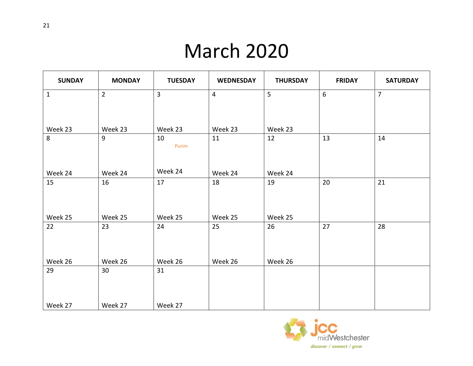# March 2020

| <b>SUNDAY</b> | <b>MONDAY</b>  | <b>TUESDAY</b> | <b>WEDNESDAY</b> | <b>THURSDAY</b> | <b>FRIDAY</b> | <b>SATURDAY</b> |
|---------------|----------------|----------------|------------------|-----------------|---------------|-----------------|
| $\mathbf{1}$  | $\overline{2}$ | 3              | $\overline{4}$   | 5               | 6             | $\overline{7}$  |
|               |                |                |                  |                 |               |                 |
|               |                |                |                  |                 |               |                 |
| Week 23       | Week 23        | Week 23        | Week 23          | Week 23         |               |                 |
| 8             | $\overline{9}$ | 10             | 11               | 12              | 13            | 14              |
|               |                | Purim          |                  |                 |               |                 |
|               |                |                |                  |                 |               |                 |
| Week 24       | Week 24        | Week 24        | Week 24          | Week 24         |               |                 |
| 15            | 16             | 17             | 18               | 19              | 20            | 21              |
|               |                |                |                  |                 |               |                 |
|               |                |                |                  |                 |               |                 |
| Week 25       | Week 25        | Week 25        | Week 25          | Week 25         |               |                 |
| 22            | 23             | 24             | 25               | 26              | 27            | 28              |
|               |                |                |                  |                 |               |                 |
|               |                |                |                  |                 |               |                 |
| Week 26       | Week 26        | Week 26        | Week 26          | Week 26         |               |                 |
| 29            | 30             | 31             |                  |                 |               |                 |
|               |                |                |                  |                 |               |                 |
|               |                |                |                  |                 |               |                 |
| Week 27       | Week 27        | Week 27        |                  |                 |               |                 |

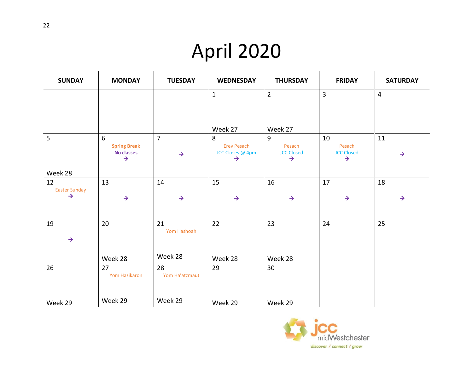# April 2020

| <b>SUNDAY</b>                         | <b>MONDAY</b>                            | <b>TUESDAY</b> | <b>WEDNESDAY</b>                       | <b>THURSDAY</b>             | <b>FRIDAY</b>               | <b>SATURDAY</b> |
|---------------------------------------|------------------------------------------|----------------|----------------------------------------|-----------------------------|-----------------------------|-----------------|
|                                       |                                          |                | $\mathbf{1}$                           | $\overline{2}$              | 3                           | $\overline{4}$  |
|                                       |                                          |                |                                        |                             |                             |                 |
|                                       |                                          |                |                                        |                             |                             |                 |
|                                       |                                          |                | Week 27                                | Week 27                     |                             |                 |
| 5                                     | 6                                        | $\overline{7}$ | 8                                      | 9                           | 10                          | 11              |
|                                       | <b>Spring Break</b><br><b>No classes</b> |                | <b>Erev Pesach</b><br>JCC Closes @ 4pm | Pesach<br><b>JCC Closed</b> | Pesach<br><b>JCC Closed</b> |                 |
|                                       | $\rightarrow$                            | $\rightarrow$  | $\rightarrow$                          | $\rightarrow$               | $\rightarrow$               | $\rightarrow$   |
| Week 28                               |                                          |                |                                        |                             |                             |                 |
| 12                                    | 13                                       | 14             | 15                                     | 16                          | 17                          | 18              |
| <b>Easter Sunday</b><br>$\rightarrow$ |                                          |                |                                        |                             |                             |                 |
|                                       | $\rightarrow$                            | $\rightarrow$  | $\rightarrow$                          | $\rightarrow$               | $\rightarrow$               | $\rightarrow$   |
|                                       |                                          |                |                                        |                             |                             |                 |
| 19                                    | 20                                       | 21             | 22                                     | 23                          | 24                          | 25              |
| $\rightarrow$                         |                                          | Yom Hashoah    |                                        |                             |                             |                 |
|                                       |                                          |                |                                        |                             |                             |                 |
|                                       | Week 28                                  | Week 28        | Week 28                                | Week 28                     |                             |                 |
| 26                                    | 27                                       | 28             | 29                                     | 30                          |                             |                 |
|                                       | <b>Yom Hazikaron</b>                     | Yom Ha'atzmaut |                                        |                             |                             |                 |
|                                       |                                          |                |                                        |                             |                             |                 |
| Week 29                               | Week 29                                  | Week 29        | Week 29                                | Week 29                     |                             |                 |

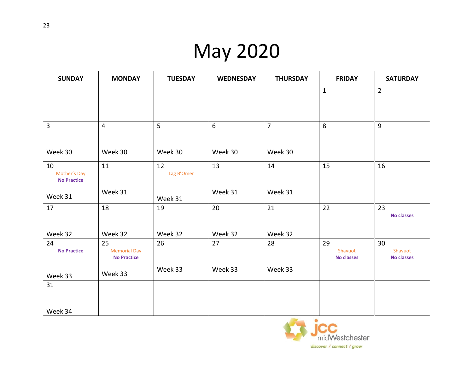# May 2020

| <b>SUNDAY</b>                            | <b>MONDAY</b>                                   | <b>TUESDAY</b>   | <b>WEDNESDAY</b> | <b>THURSDAY</b> | <b>FRIDAY</b>                      | <b>SATURDAY</b>                    |
|------------------------------------------|-------------------------------------------------|------------------|------------------|-----------------|------------------------------------|------------------------------------|
|                                          |                                                 |                  |                  |                 | $\mathbf{1}$                       | $\overline{2}$                     |
|                                          |                                                 |                  |                  |                 |                                    |                                    |
| 3                                        | $\overline{4}$                                  | 5                | $6\phantom{1}$   | $\overline{7}$  | 8                                  | 9                                  |
| Week 30                                  | Week 30                                         | Week 30          | Week 30          | Week 30         |                                    |                                    |
| 10<br>Mother's Day<br><b>No Practice</b> | 11                                              | 12<br>Lag B'Omer | 13               | 14              | 15                                 | 16                                 |
| Week 31                                  | Week 31                                         | Week 31          | Week 31          | Week 31         |                                    |                                    |
| 17                                       | 18                                              | 19               | 20               | 21              | 22                                 | 23<br><b>No classes</b>            |
| Week 32                                  | Week 32                                         | Week 32          | Week 32          | Week 32         |                                    |                                    |
| 24<br><b>No Practice</b>                 | 25<br><b>Memorial Day</b><br><b>No Practice</b> | 26               | 27               | 28              | 29<br>Shavuot<br><b>No classes</b> | 30<br>Shavuot<br><b>No classes</b> |
| Week 33                                  | Week 33                                         | Week 33          | Week 33          | Week 33         |                                    |                                    |
| 31                                       |                                                 |                  |                  |                 |                                    |                                    |
| Week 34                                  |                                                 |                  |                  |                 |                                    |                                    |

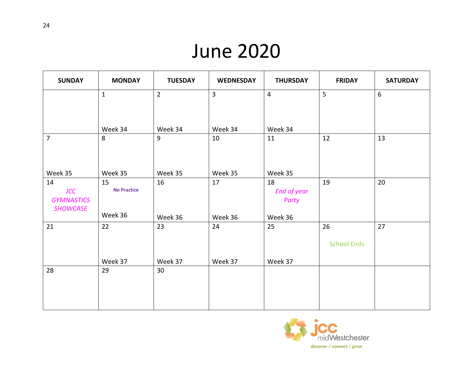# June 2020

| <b>SUNDAY</b>     | <b>MONDAY</b>      | <b>TUESDAY</b> | <b>WEDNESDAY</b> | <b>THURSDAY</b>    | <b>FRIDAY</b>      | <b>SATURDAY</b> |
|-------------------|--------------------|----------------|------------------|--------------------|--------------------|-----------------|
|                   | $\mathbf{1}$       | $\overline{2}$ | 3                | $\overline{4}$     | 5                  | 6               |
|                   |                    |                |                  |                    |                    |                 |
|                   |                    |                |                  |                    |                    |                 |
|                   | Week 34            | Week 34        | Week 34          | Week 34            |                    |                 |
| $\overline{7}$    | 8                  | $\overline{9}$ | 10               | 11                 | 12                 | 13              |
|                   |                    |                |                  |                    |                    |                 |
|                   |                    |                |                  |                    |                    |                 |
| Week 35           | Week 35            | Week 35        | Week 35          | Week 35            |                    |                 |
| 14                | 15                 | 16             | 17               | 18                 | 19                 | 20              |
| <b>JCC</b>        | <b>No Practice</b> |                |                  | <b>End of year</b> |                    |                 |
| <b>GYMNASTICS</b> |                    |                |                  | Party              |                    |                 |
| <b>SHOWCASE</b>   | Week 36            |                |                  |                    |                    |                 |
|                   |                    | Week 36        | Week 36          | Week 36            |                    |                 |
| 21                | 22                 | 23             | 24               | 25                 | 26                 | 27              |
|                   |                    |                |                  |                    | <b>School Ends</b> |                 |
|                   |                    |                |                  |                    |                    |                 |
|                   | Week 37            | Week 37        | Week 37          | Week 37            |                    |                 |
| 28                | 29                 | 30             |                  |                    |                    |                 |
|                   |                    |                |                  |                    |                    |                 |
|                   |                    |                |                  |                    |                    |                 |
|                   |                    |                |                  |                    |                    |                 |

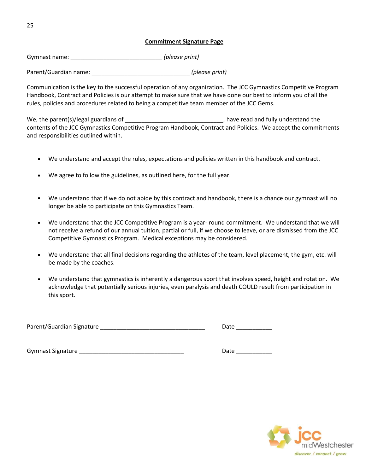### **Commitment Signature Page**

Gymnast name: \_\_\_\_\_\_\_\_\_\_\_\_\_\_\_\_\_\_\_\_\_\_\_\_\_\_\_\_ *(please print)*

Parent/Guardian name: \_\_\_\_\_\_\_\_\_\_\_\_\_\_\_\_\_\_\_\_\_\_\_\_\_\_\_\_\_\_ *(please print)*

Communication is the key to the successful operation of any organization. The JCC Gymnastics Competitive Program Handbook, Contract and Policies is our attempt to make sure that we have done our best to inform you of all the rules, policies and procedures related to being a competitive team member of the JCC Gems.

We, the parent(s)/legal guardians of \_\_\_\_\_\_\_\_\_\_\_\_\_\_\_\_\_\_\_\_\_\_\_\_\_\_\_\_\_\_\_\_, have read and fully understand the contents of the JCC Gymnastics Competitive Program Handbook, Contract and Policies. We accept the commitments and responsibilities outlined within.

- We understand and accept the rules, expectations and policies written in this handbook and contract.
- We agree to follow the guidelines, as outlined here, for the full year.
- We understand that if we do not abide by this contract and handbook, there is a chance our gymnast will no longer be able to participate on this Gymnastics Team.
- We understand that the JCC Competitive Program is a year- round commitment. We understand that we will not receive a refund of our annual tuition, partial or full, if we choose to leave, or are dismissed from the JCC Competitive Gymnastics Program. Medical exceptions may be considered.
- We understand that all final decisions regarding the athletes of the team, level placement, the gym, etc. will be made by the coaches.
- We understand that gymnastics is inherently a dangerous sport that involves speed, height and rotation. We acknowledge that potentially serious injuries, even paralysis and death COULD result from participation in this sport.

Parent/Guardian Signature \_\_\_\_\_\_\_\_\_\_\_\_\_\_\_\_\_\_\_\_\_\_\_\_\_\_\_\_\_\_\_\_ Date \_\_\_\_\_\_\_\_\_\_\_

Gymnast Signature **Example 2018** Control of the United States of the United States of the United States of the U



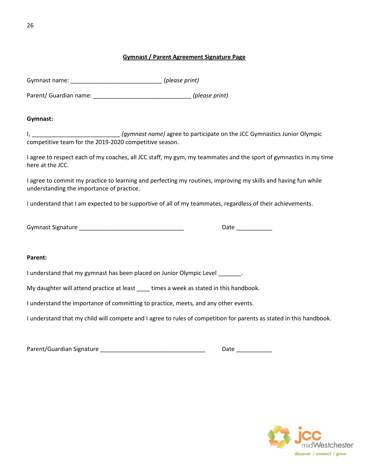# **Gymnast / Parent Agreement Signature Page**

| Gymnast name: | (please print) |
|---------------|----------------|
|---------------|----------------|

Parent/ Guardian name: \_\_\_\_\_\_\_\_\_\_\_\_\_\_\_\_\_\_\_\_\_\_\_\_\_\_\_\_\_\_ *(please print)*

#### **Gymnast:**

I, \_\_\_\_\_\_\_\_\_\_\_\_\_\_\_\_\_\_\_\_\_\_\_\_\_\_\_ *(gymnast name)* agree to participate on the JCC Gymnastics Junior Olympic competitive team for the 2019-2020 competitive season.

I agree to respect each of my coaches, all JCC staff, my gym, my teammates and the sport of gymnastics in my time here at the JCC.

I agree to commit my practice to learning and perfecting my routines, improving my skills and having fun while understanding the importance of practice.

I understand that I am expected to be supportive of all of my teammates, regardless of their achievements.

| Gymnast Signature |
|-------------------|
|-------------------|

Date  $\overline{\phantom{a}}$ 

#### **Parent:**

I understand that my gymnast has been placed on Junior Olympic Level **Fig.** 

My daughter will attend practice at least \_\_\_\_ times a week as stated in this handbook.

I understand the importance of committing to practice, meets, and any other events.

I understand that my child will compete and I agree to rules of competition for parents as stated in this handbook.

Parent/Guardian Signature \_\_\_\_\_\_\_\_\_\_\_\_\_\_\_\_\_\_\_\_\_\_\_\_\_\_\_\_\_\_\_\_ Date \_\_\_\_\_\_\_\_\_\_\_

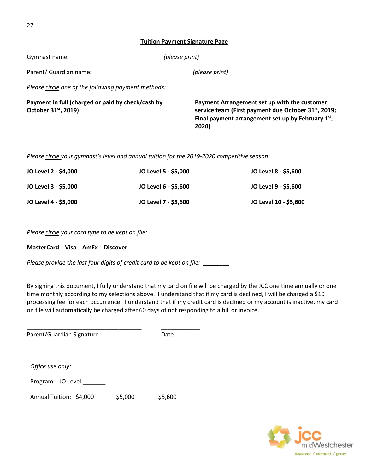#### **Tuition Payment Signature Page**

| (please print)<br>Gymnast name:                                                                                |                                                                                                                                                                                   |  |
|----------------------------------------------------------------------------------------------------------------|-----------------------------------------------------------------------------------------------------------------------------------------------------------------------------------|--|
| Parent/ Guardian name: Name and Separate Separate Separate Separate Separate Separate Separate Separate Separa | (please print)                                                                                                                                                                    |  |
| Please circle one of the following payment methods:                                                            |                                                                                                                                                                                   |  |
| Payment in full (charged or paid by check/cash by<br>October 31 <sup>st</sup> , 2019)                          | Payment Arrangement set up with the customer<br>service team (First payment due October 31 <sup>st</sup> , 2019;<br>Final payment arrangement set up by February $1st$ ,<br>2020) |  |

*Please circle your gymnast's level and annual tuition for the 2019-2020 competitive season:*

| JO Level 2 - \$4,000 | JO Level 5 - \$5,000 | JO Level 8 - \$5,600  |
|----------------------|----------------------|-----------------------|
| JO Level 3 - \$5,000 | JO Level 6 - \$5,600 | JO Level 9 - \$5,600  |
| JO Level 4 - \$5,000 | JO Level 7 - \$5,600 | JO Level 10 - \$5,600 |

*Please circle your card type to be kept on file:*

#### **MasterCard Visa AmEx Discover**

*Please provide the last four digits of credit card to be kept on file:* **\_\_\_\_\_\_\_\_**

By signing this document, I fully understand that my card on file will be charged by the JCC one time annually or one time monthly according to my selections above. I understand that if my card is declined, I will be charged a \$10 processing fee for each occurrence. I understand that if my credit card is declined or my account is inactive, my card on file will automatically be charged after 60 days of not responding to a bill or invoice.

Parent/Guardian Signature **Date** Date

| Program: JO Level |         |  |  |  |
|-------------------|---------|--|--|--|
| \$5,000           | \$5,600 |  |  |  |
|                   |         |  |  |  |

\_\_\_\_\_\_\_\_\_\_\_\_\_\_\_\_\_\_\_\_\_\_\_\_\_\_\_\_\_\_\_\_\_\_\_ \_\_\_\_\_\_\_\_\_\_\_\_

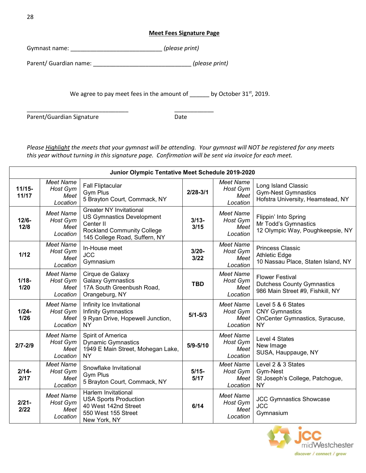#### **Meet Fees Signature Page**

Gymnast name: \_\_\_\_\_\_\_\_\_\_\_\_\_\_\_\_\_\_\_\_\_\_\_\_\_\_\_\_ *(please print)*

Parent/ Guardian name: \_\_\_\_\_\_\_\_\_\_\_\_\_\_\_\_\_\_\_\_\_\_\_\_\_\_\_\_\_\_ *(please print)*

\_\_\_\_\_\_\_\_\_\_\_\_\_\_\_\_\_\_\_\_\_\_\_\_\_\_\_\_\_\_\_ \_\_\_\_\_\_\_\_\_\_\_\_

We agree to pay meet fees in the amount of \_\_\_\_\_ by October 31<sup>st</sup>, 2019.

Parent/Guardian Signature **Date** Date

*Please Highlight the meets that your gymnast will be attending. Your gymnast will NOT be registered for any meets this year without turning in this signature page. Confirmation will be sent via invoice for each meet.*

| Junior Olympic Tentative Meet Schedule 2019-2020 |                                                         |                                                                                                                                                       |                  |                                                  |                                                                                                 |
|--------------------------------------------------|---------------------------------------------------------|-------------------------------------------------------------------------------------------------------------------------------------------------------|------------------|--------------------------------------------------|-------------------------------------------------------------------------------------------------|
| $11/15 -$<br>11/17                               | <b>Meet Name</b><br>Host Gym<br>Meet<br>Location        | <b>Fall Fliptacular</b><br><b>Gym Plus</b><br>5 Brayton Court, Commack, NY                                                                            | $2/28 - 3/1$     | <b>Meet Name</b><br>Host Gym<br>Meet<br>Location | Long Island Classic<br><b>Gym-Nest Gymnastics</b><br>Hofstra University, Heamstead, NY          |
| $12/6 -$<br>$12/8$                               | <b>Meet Name</b><br>Host Gym<br>Meet<br>Location        | <b>Greater NY Invitational</b><br><b>US Gymnastics Development</b><br>Center II<br><b>Rockland Community College</b><br>145 College Road, Suffern, NY | $3/13 -$<br>3/15 | <b>Meet Name</b><br>Host Gym<br>Meet<br>Location | Flippin' Into Spring<br>Mr Todd's Gymnastics<br>12 Olympic Way, Poughkeepsie, NY                |
| $1/12$                                           | <b>Meet Name</b><br><b>Host Gym</b><br>Meet<br>Location | In-House meet<br><b>JCC</b><br>Gymnasium                                                                                                              | $3/20 -$<br>3/22 | <b>Meet Name</b><br>Host Gym<br>Meet<br>Location | <b>Princess Classic</b><br><b>Athletic Edge</b><br>10 Nassau Place, Staten Island, NY           |
| $1/18 -$<br>1/20                                 | Meet Name<br>Host Gym<br>Meet<br>Location               | Cirque de Galaxy<br><b>Galaxy Gymnastics</b><br>17A South Greenbush Road,<br>Orangeburg, NY                                                           | <b>TBD</b>       | <b>Meet Name</b><br>Host Gym<br>Meet<br>Location | <b>Flower Festival</b><br><b>Dutchess County Gymnastics</b><br>986 Main Street #9, Fishkill, NY |
| $1/24 -$<br>1/26                                 | <b>Meet Name</b><br>Host Gym<br>Meet<br>Location        | Infinity Ice Invitational<br>Infinity Gymnastics<br>9 Ryan Drive, Hopewell Junction,<br><b>NY</b>                                                     | $5/1 - 5/3$      | Meet Name<br>Host Gym<br>Meet<br>Location        | Level 5 & 6 States<br><b>CNY Gymnastics</b><br>OnCenter Gymnastics, Syracuse,<br><b>NY</b>      |
| $2/7 - 2/9$                                      | Meet Name<br>Host Gym<br>Meet<br>Location               | Spirit of America<br><b>Dynamic Gymnastics</b><br>1949 E Main Street, Mohegan Lake,<br><b>NY</b>                                                      | $5/9 - 5/10$     | <b>Meet Name</b><br>Host Gym<br>Meet<br>Location | Level 4 States<br>New Image<br>SUSA, Hauppauge, NY                                              |
| $2/14-$<br>2/17                                  | <b>Meet Name</b><br>Host Gym<br>Meet<br>Location        | Snowflake Invitational<br><b>Gym Plus</b><br>5 Brayton Court, Commack, NY                                                                             | $5/15 -$<br>5/17 | <b>Meet Name</b><br>Host Gym<br>Meet<br>Location | Level 2 & 3 States<br>Gym-Nest<br>St Joseph's College, Patchogue,<br><b>NY</b>                  |
| $2/21 -$<br>2/22                                 | <b>Meet Name</b><br>Host Gym<br>Meet<br>Location        | <b>Harlem Invitational</b><br><b>USA Sports Production</b><br>40 West 142nd Street<br>550 West 155 Street<br>New York, NY                             | 6/14             | <b>Meet Name</b><br>Host Gym<br>Meet<br>Location | <b>JCC Gymnastics Showcase</b><br>JCC<br>Gymnasium                                              |

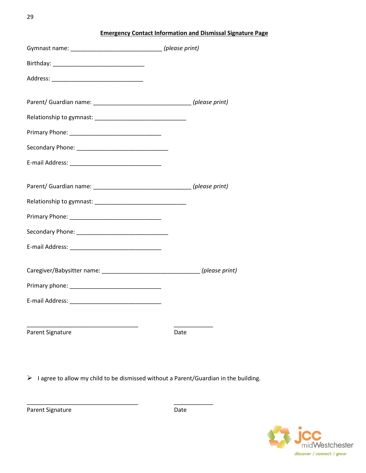29

| <b>Emergency Contact Information and Dismissal Signature Page</b> |
|-------------------------------------------------------------------|
|-------------------------------------------------------------------|

| Parent Signature | Date |
|------------------|------|

 $\triangleright$  I agree to allow my child to be dismissed without a Parent/Guardian in the building.

\_\_\_\_\_\_\_\_\_\_\_\_\_\_\_\_\_\_\_\_\_\_\_\_\_\_\_\_\_\_\_\_\_\_ \_\_\_\_\_\_\_\_\_\_\_\_

Parent Signature Date

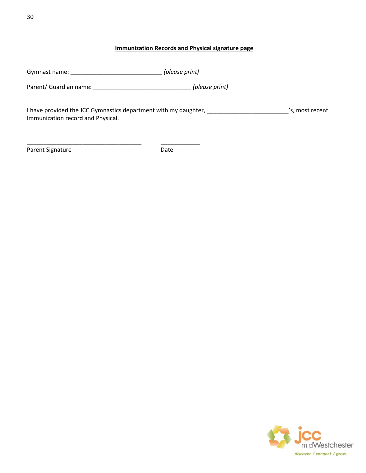### **Immunization Records and Physical signature page**

Gymnast name: \_\_\_\_\_\_\_\_\_\_\_\_\_\_\_\_\_\_\_\_\_\_\_\_\_\_\_\_ *(please print)*

\_\_\_\_\_\_\_\_\_\_\_\_\_\_\_\_\_\_\_\_\_\_\_\_\_\_\_\_\_\_\_\_\_\_\_ \_\_\_\_\_\_\_\_\_\_\_\_

Parent/ Guardian name: \_\_\_\_\_\_\_\_\_\_\_\_\_\_\_\_\_\_\_\_\_\_\_\_\_\_\_\_\_\_ *(please print)*

I have provided the JCC Gymnastics department with my daughter, \_\_\_\_\_\_\_\_\_\_\_\_\_\_\_\_\_\_\_\_\_\_\_\_\_\_\_\_\_\_\_'s, most recent Immunization record and Physical.

Parent Signature Date Date